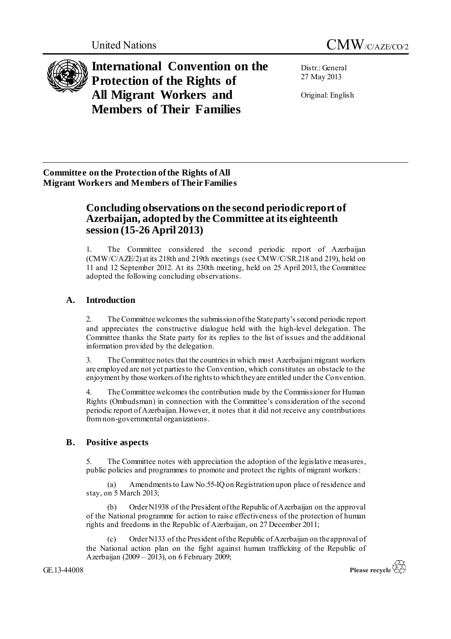



**International Convention on the Protection of the Rights of All Migrant Workers and Members of Their Families**

Distr.: General 27 May 2013

Original: English

**Committee on the Protection of the Rights of All Migrant Workers and Members of Their Families**

# **Concluding observations on the second periodic report of Azerbaijan, adopted by the Committee at its eighteenth session (15-26 April 2013)**

1. The Committee considered the second periodic report of Azerbaijan (CMW/C/AZE/2) at its 218th and 219th meetings (see CMW/C/SR.218 and 219), held on 11 and 12 September 2012. At its 230th meeting, held on 25 April 2013, the Committee adopted the following concluding observations.

# **A. Introduction**

2. The Committee welcomes the submission of the State party's second periodic report and appreciates the constructive dialogue held with the high-level delegation. The Committee thanks the State party for its replies to the list of issues and the additional information provided by the delegation.

3. The Committee notes that the countries in which most Azerbaijani migrant workers are employed are not yet parties to the Convention, which constitutes an obstacle to the enjoyment by those workers of the rights to which they are entitled under the Convention.

4. The Committee welcomes the contribution made by the Commissioner for Human Rights (Ombudsman) in connection with the Committee's consideration of the second periodic report of Azerbaijan. However, it notes that it did not receive any contributions fromnon-governmental organizations.

# **B. Positive aspects**

5. The Committee notes with appreciation the adoption of the legislative measures, public policies and programmes to promote and protect the rights of migrant workers:

(a) Amendments to Law No.55-IQ on Registration upon place of residence and stay, on 5 March 2013;

(b) Order N1938 of the President of the Republic of Azerbaijan on the approval of the National programme for action to raise effectiveness of the protection of human rights and freedoms in the Republic of Azerbaijan, on 27 December 2011;

(c) Order N133 of the President of the Republic of Azerbaijan on the approval of the National action plan on the fight against human trafficking of the Republic of Azerbaijan (2009 – 2013), on 6 February 2009;

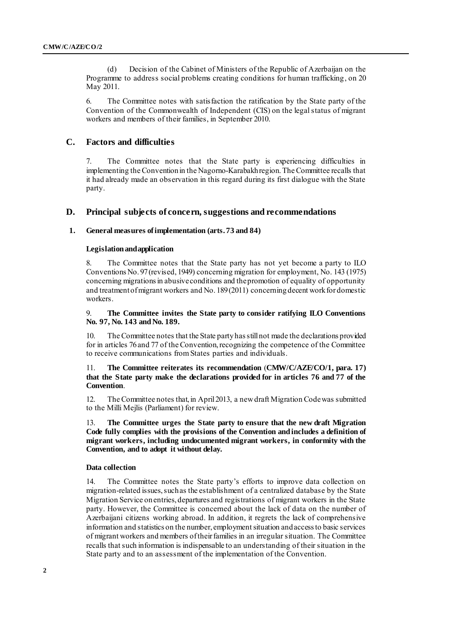(d) Decision of the Cabinet of Ministers of the Republic of Azerbaijan on the Programme to address social problems creating conditions for human trafficking, on 20 May 2011.

6. The Committee notes with satisfaction the ratification by the State party of the Convention of the Commonwealth of Independent (CIS) on the legal status of migrant workers and members of their families, in September 2010.

# **C. Factors and difficulties**

7. The Committee notes that the State party is experiencing difficulties in implementing the Convention in the Nagorno-Karabakh region.The Committee recalls that it had already made an observation in this regard during its first dialogue with the State party.

# **D. Principal subjects of concern, suggestions and recommendations**

## **1. General measures of implementation (arts. 73 and 84)**

#### **Legislation and application**

8. The Committee notes that the State party has not yet become a party to ILO Conventions No. 97(revised, 1949) concerning migration for employment, No. 143 (1975) concerning migrations in abusive conditions and the promotion of equality of opportunity and treatment of migrant workers and No. 189(2011) concerning decent work for domestic workers.

#### 9. **The Committee invites the State party to consider ratifying ILO Conventions No. 97, No. 143 and No. 189.**

The Committee notes that the State party has still not made the declarations provided for in articles 76 and 77 of the Convention, recognizing the competence of the Committee to receive communications from States parties and individuals.

# 11. **The Committee reiterates its recommendation** (**CMW/C/AZE/CO/1, para. 17) that the State party make the declarations provided for in articles 76 and 77 of the Convention**.

12. The Committee notes that, in April2013, a new draft Migration Codewas submitted to the Milli Mejlis (Parliament) for review.

13. **The Committee urges the State party to ensure that the new draft Migration Code fully complies with the provisions of the Convention and includes a definition of migrant workers, including undocumented migrant workers, in conformity with the Convention, and to adopt it without delay.**

# **Data collection**

14. The Committee notes the State party's efforts to improve data collection on migration-related issues, such as the establishment of a centralized database by the State Migration Service on entries, departures and registrations of migrant workers in the State party. However, the Committee is concerned about the lack of data on the number of Azerbaijani citizens working abroad. In addition, it regrets the lack of comprehensive information and statistics on the number, employment situation and access to basic services of migrant workers and members of their families in an irregular situation. The Committee recalls that such information is indispensable to an understanding of their situation in the State party and to an assessment of the implementation of the Convention.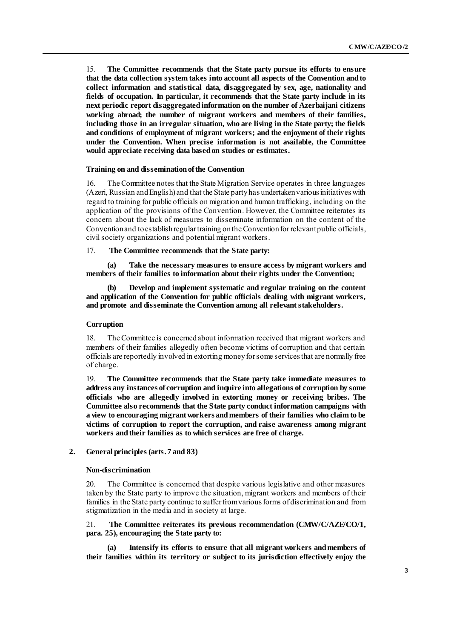15. **The Committee recommends that the State party pursue its efforts to ensure that the data collection system takes into account all aspects of the Convention and to collect information and statistical data, disaggregated by sex, age, nationality and fields of occupation. In particular, it recommends that the State party include in its next periodic report disaggregated information on the number of Azerbaijani citizens working abroad; the number of migrant workers and members of their families, including those in an irregular situation, who are living in the State party; the fields and conditions of employment of migrant workers; and the enjoyment of their rights under the Convention. When precise information is not available, the Committee would appreciate receiving data based on studies or estimates.**

#### **Training on and dissemination of the Convention**

16. The Committee notes that the State Migration Service operates in three languages (Azeri, Russian and English) and that the State party has undertaken various initiatives with regard to training for public officials on migration and human trafficking, including on the application of the provisions of the Convention. However, the Committee reiterates its concern about the lack of measures to disseminate information on the content of the Convention and to establish regular training on the Convention for relevant public officials, civil society organizations and potential migrant workers.

#### 17. **The Committee recommends that the State party:**

**(a) Take the necessary measures to ensure access by migrant workers and members of their families to information about their rights under the Convention;** 

**(b) Develop and implement systematic and regular training on the content and application of the Convention for public officials dealing with migrant workers, and promote and disseminate the Convention among all relevant stakeholders.**

#### **Corruption**

18. The Committee is concerned about information received that migrant workers and members of their families allegedly often become victims of corruption and that certain officials are reportedly involved in extorting money for some services that are normally free of charge.

19. **The Committee recommends that the State party take immediate measures to address any instances of corruption and inquire into allegations of corruption by some officials who are allegedly involved in extorting money or receiving bribes. The Committee also recommends that the State party conduct information campaigns with a view to encouraging migrant workers and members of their families who claim to be victims of corruption to report the corruption, and raise awareness among migrant workers and their families as to which services are free of charge.**

# **2. General principles (arts. 7 and 83)**

#### **Non-discrimination**

20. The Committee is concerned that despite various legislative and other measures taken by the State party to improve the situation, migrant workers and members of their families in the State party continue to suffer from various forms of discrimination and from stigmatization in the media and in society at large.

21. **The Committee reiterates its previous recommendation (CMW/C/AZE/CO/1, para. 25), encouraging the State party to:** 

**(a) Intensify its efforts to ensure that all migrant workers and members of their families within its territory or subject to its jurisdiction effectively enjoy the**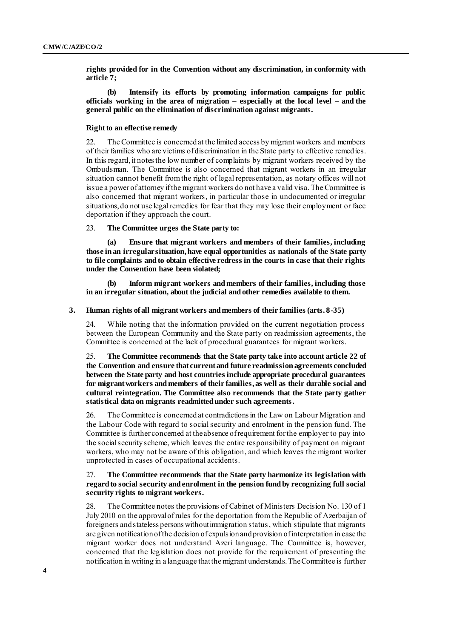**rights provided for in the Convention without any discrimination, in conformity with article 7;** 

**(b) Intensify its efforts by promoting information campaigns for public officials working in the area of migration – especially at the local level – and the general public on the elimination of discrimination against migrants.**

#### **Right to an effective remedy**

22. The Committee is concerned at the limited access by migrant workers and members of their families who are victims of discrimination in the State party to effective remedies. In this regard, it notes the low number of complaints by migrant workers received by the Ombudsman. The Committee is also concerned that migrant workers in an irregular situation cannot benefit from the right of legal representation, as notary offices will not issue a power of attorney if the migrant workers do not have a valid visa. The Committee is also concerned that migrant workers, in particular those in undocumented or irregular situations, do not use legal remedies for fear that they may lose their employment or face deportation if they approach the court.

23. **The Committee urges the State party to:**

**(a) Ensure that migrant workers and members of their families, including those in an irregular situation,have equal opportunities as nationals of the State party to file complaints and to obtain effective redress in the courts in case that their rights under the Convention have been violated;** 

**(b) Inform migrant workers and members of their families, including those in an irregular situation, about the judicial and other remedies available to them.**

## **3. Human rights of all migrant workers and members of their families (arts. 8-35)**

24. While noting that the information provided on the current negotiation process between the European Community and the State party on readmission agreements, the Committee is concerned at the lack of procedural guarantees for migrant workers.

25. **The Committee recommends that the State party take into account article 22 of the Convention and ensure that current and future readmission agreements concluded between the State party and host countries include appropriate procedural guarantees for migrant workers and members of their families, as well as their durable social and cultural reintegration. The Committee also recommends that the State party gather statistical data on migrants readmitted under such agreements.**

26. The Committee is concerned at contradictions in the Law on Labour Migration and the Labour Code with regard to social security and enrolment in the pension fund. The Committee is further concerned at the absence of requirement for the employer to pay into the social security scheme, which leaves the entire responsibility of payment on migrant workers, who may not be aware of this obligation, and which leaves the migrant worker unprotected in cases of occupational accidents.

## 27. **The Committee recommends that the State party harmonize its legislation with regard to social security and enrolment in the pension fund by recognizing full social security rights to migrant workers.**

28. The Committee notes the provisions of Cabinet of Ministers Decision No. 130 of 1 July 2010 on the approval of rules for the deportation from the Republic of Azerbaijan of foreigners and stateless persons without immigration status, which stipulate that migrants are given notification of the decision of expulsion and provision of interpretation in case the migrant worker does not understand Azeri language. The Committee is, however, concerned that the legislation does not provide for the requirement of presenting the notification in writing in a language that the migrant understands. The Committee is further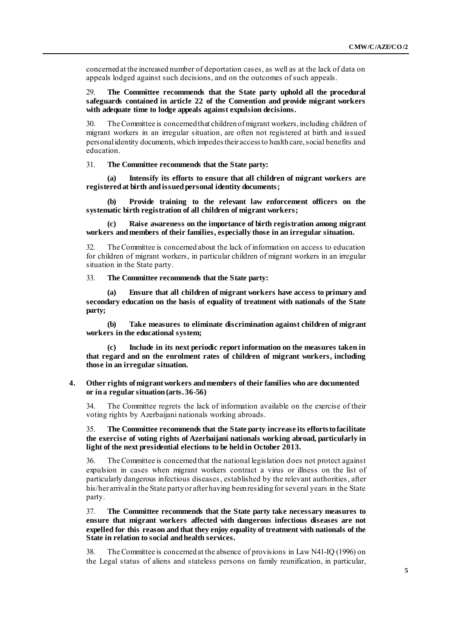concerned at the increased number of deportation cases, as well as at the lack of data on appeals lodged against such decisions, and on the outcomes of such appeals.

#### 29. **The Committee recommends that the State party uphold all the procedural safeguards contained in article 22 of the Convention and provide migrant workers with adequate time to lodge appeals against expulsion decisions.**

30. The Committee is concerned that children of migrant workers, including children of migrant workers in an irregular situation, are often not registered at birth and issued personal identity documents, which impedestheir access to health care, social benefits and education.

31. **The Committee recommends that the State party:**

**(a) Intensify its efforts to ensure that all children of migrant workers are registered at birth and issued personal identity documents;**

**(b) Provide training to the relevant law enforcement officers on the systematic birth registration of all children of migrant workers;**

**(c) Raise awareness on the importance of birth registration among migrant workers and members of their families, especially those in an irregular situation.**

The Committee is concerned about the lack of information on access to education for children of migrant workers, in particular children of migrant workers in an irregular situation in the State party.

33. **The Committee recommends that the State party:**

**(a) Ensure that all children of migrant workers have access to primary and secondary education on the basis of equality of treatment with nationals of the State party;**

**(b) Take measures to eliminate discrimination against children of migrant workers in the educational system;** 

**(c) Include in its next periodic report information on the measures taken in that regard and on the enrolment rates of children of migrant workers, including those in an irregular situation.**

#### **4. Other rights of migrant workers and members of their families who are documented or in a regular situation (arts. 36-56)**

34. The Committee regrets the lack of information available on the exercise of their voting rights by Azerbaijani nationals working abroads.

35. **The Committee recommends that the State party increase its efforts to facilitate the exercise of voting rights of Azerbaijani nationals working abroad, particularly in light of the next presidential elections to be held in October 2013.**

36. The Committee is concerned that the national legislation does not protect against expulsion in cases when migrant workers contract a virus or illness on the list of particularly dangerous infectious diseases, established by the relevant authorities, after his/her arrivalin the State party or after having been residing for several years in the State party.

37. **The Committee recommends that the State party take necessary measures to ensure that migrant workers affected with dangerous infectious diseases are not expelled for this reason and that they enjoy equality of treatment with nationals of the State in relation to social and health services.**

38. The Committee is concerned at the absence of provisions in Law N41-IQ (1996) on the Legal status of aliens and stateless persons on family reunification, in particular,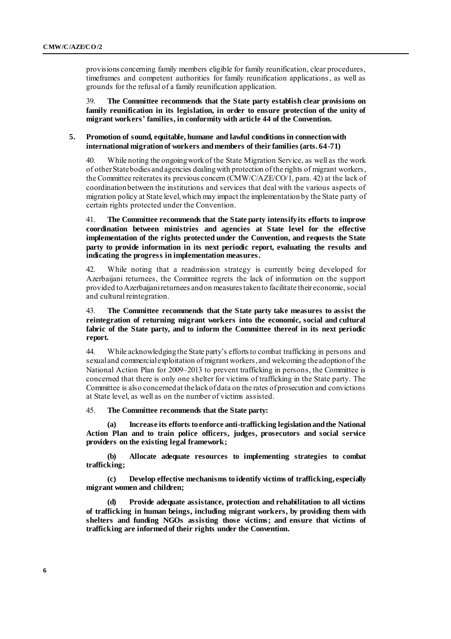provisions concerning family members eligible for family reunification, clear procedures, timeframes and competent authorities for family reunification applications, as well as grounds for the refusal of a family reunification application.

39. **The Committee recommends that the State party establish clear provisions on family reunification in its legislation, in order to ensure protection of the unity of migrant workers' families, in conformity with article 44 of the Convention.** 

#### **5. Promotion of sound, equitable, humane and lawful conditions in connection with international migration of workers and members of their families (arts. 64-71)**

40. While noting the ongoingwork of the State Migration Service, as well as the work of other State bodies and agencies dealing with protection of the rights of migrant workers, the Committee reiterates its previous concern (CMW/C/AZE/CO/1, para. 42) at the lack of coordination between the institutions and services that deal with the various aspects of migration policy at State level,which may impact the implementation by the State party of certain rights protected under the Convention.

41. **The Committee recommends that the State party intensify its efforts to improve coordination between ministries and agencies at State level for the effective implementation of the rights protected under the Convention, and requests the State party to provide information in its next periodic report, evaluating the results and indicating the progress in implementation measures.**

42. While noting that a readmission strategy is currently being developed for Azerbaijani returnees, the Committee regrets the lack of information on the support provided to Azerbaijanireturnees and on measurestakento facilitate their economic, social and cultural reintegration.

43. **The Committee recommends that the State party take measures to assist the reintegration of returning migrant workers into the economic, social and cultural fabric of the State party, and to inform the Committee thereof in its next periodic report.**

44. While acknowledging the State party's efforts to combat trafficking in persons and sexual and commercial exploitation of migrant workers, and welcoming the adoption of the National Action Plan for 2009–2013 to prevent trafficking in persons, the Committee is concerned that there is only one shelter for victims of trafficking in the State party. The Committee is also concerned at the lack of data on the rates of prosecution and convictions at State level, as well as on the number of victims assisted.

45. **The Committee recommends that the State party:**

**(a) Increase its efforts to enforce anti-trafficking legislation and the National Action Plan and to train police officers, judges, prosecutors and social service providers on the existing legal framework;**

**(b) Allocate adequate resources to implementing strategies to combat trafficking;**

**(c) Develop effective mechanisms to identify victims of trafficking, especially migrant women and children;**

**(d) Provide adequate assistance, protection and rehabilitation to all victims of trafficking in human beings, including migrant workers, by providing them with shelters and funding NGOs assisting those victims; and ensure that victims of trafficking are informed of their rights under the Convention.**